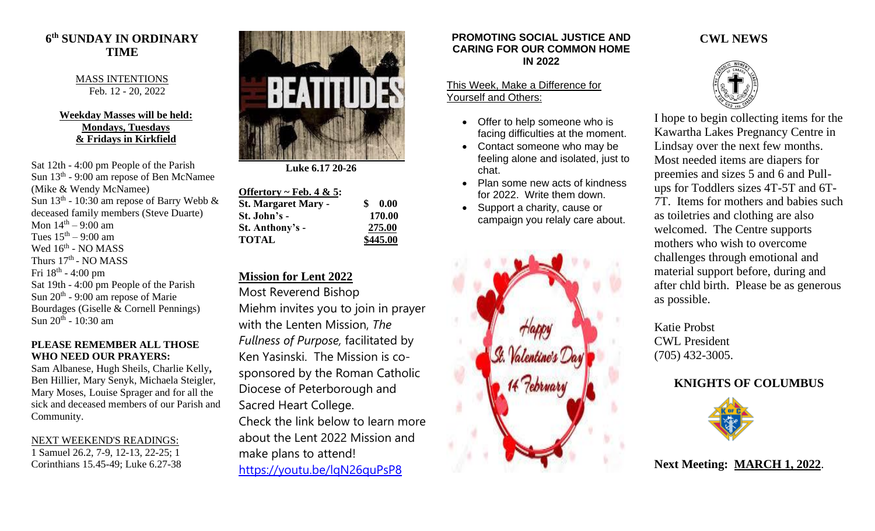## **6 th SUNDAY IN ORDINARY TIME**

MASS INTENTIONS Feb. 12 - 20, 2022

### **Weekday Masses will be held: Mondays, Tuesdays & Fridays in Kirkfield**

Sat 12th - 4:00 pm People of the Parish Sun 13<sup>th</sup> - 9:00 am repose of Ben McNamee (Mike & Wendy McNamee) Sun  $13<sup>th</sup>$  - 10:30 am repose of Barry Webb  $\&$ deceased family members (Steve Duarte) Mon  $14^{\text{th}} - 9:00$  am Tues  $15<sup>th</sup> - 9:00$  am Wed  $16^{\text{th}}$  - NO MASS Thurs 17<sup>th</sup> - NO MASS Fri 18<sup>th</sup> - 4:00 pm Sat 19th - 4:00 pm People of the Parish Sun  $20<sup>th</sup>$  - 9:00 am repose of Marie Bourdages (Giselle & Cornell Pennings) Sun 20<sup>th</sup> - 10:30 am

### **PLEASE REMEMBER ALL THOSE WHO NEED OUR PRAYERS:**

Sam Albanese, Hugh Sheils, Charlie Kelly**,**  Ben Hillier, Mary Senyk, Michaela Steigler, Mary Moses, Louise Sprager and for all the sick and deceased members of our Parish and Community.

### NEXT WEEKEND'S READINGS:

1 Samuel 26.2, 7-9, 12-13, 22-25; 1 Corinthians 15.45-49; Luke 6.27-38



 **Luke 6.17 20-26**

| \$<br>$\bf{0.00}$ |
|-------------------|
| 170.00            |
| 275.00            |
| \$445.00          |
|                   |

## **Mission for Lent 2022**

Most Reverend Bishop

Miehm invites you to join in prayer with the Lenten Mission, *The Fullness of Purpose,* facilitated by Ken Yasinski. The Mission is cosponsored by the Roman Catholic Diocese of Peterborough and Sacred Heart College. Check the link below to learn more about the Lent 2022 Mission and make plans to attend! <https://youtu.be/lqN26quPsP8>

### **PROMOTING SOCIAL JUSTICE AND CARING FOR OUR COMMON HOME IN 2022**

#### This Week, Make a Difference for Yourself and Others:

- Offer to help someone who is facing difficulties at the moment.
- Contact someone who may be feeling alone and isolated, just to chat.
- Plan some new acts of kindness for 2022. Write them down.
- Support a charity, cause or campaign you relaly care about.



## **CWL NEWS**



I hope to begin collecting items for the Kawartha Lakes Pregnancy Centre in Lindsay over the next few months. Most needed items are diapers for preemies and sizes 5 and 6 and Pullups for Toddlers sizes 4T-5T and 6T-7T. Items for mothers and babies such as toiletries and clothing are also welcomed. The Centre supports mothers who wish to overcome challenges through emotional and material support before, during and after chld birth. Please be as generous as possible.

Katie Probst CWL President (705) 432-3005.

# **KNIGHTS OF COLUMBUS**



**Next Meeting: MARCH 1, 2022**.